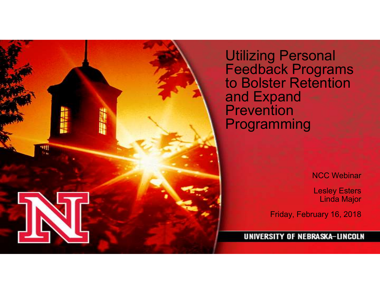

Utilizing Personal Feedback Programs to Bolster Retention and Expand Prevention Programming

NCC Webinar

Lesley Esters Linda Major

Friday, February 16, 2018

UNIVERSITY OF NEBRASKA-LINCOLN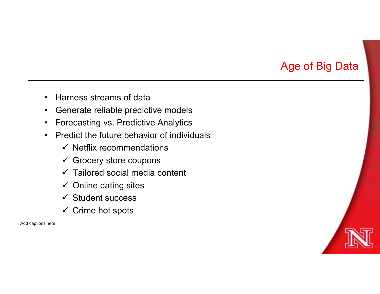# Age of Big Data

- 
- 
- Harness streams of data<br>• Generate reliable predictive models<br>• Forecasting vs. Predictive Analytics
- Harness streams of data<br>• Generate reliable predictive models<br>• Forecasting vs. Predictive Analytics<br>• Predict the future behavior of individuals • Harness streams of data<br>• Generate reliable predictive models<br>• Forecasting vs. Predictive Analytics<br>• Predict the future behavior of individuals<br>• Netflix recommendations • Harness streams of data<br>• Generate reliable predictive models<br>• Forecasting vs. Predictive Analytics<br>• Predict the future behavior of individuals<br>• Netflix recommendations<br>• Grocery store coupons
	- $\checkmark$  Netflix recommendations
	- $\checkmark$  Grocery store coupons
	- $\checkmark$  Tailored social media content
	- $\checkmark$  Online dating sites
	- $\checkmark$  Student success
	- $\checkmark$  Crime hot spots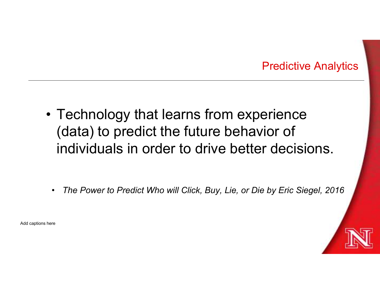### Predictive Analytics

- Predictive Analytic<br>
 Technology that learns from experience<br>
(data) to predict the future behavior of<br>
individuals in order to drive better decisions (data) to predict the future behavior of individuals in order to drive better decisions.
	- The Power to Predict Who will Click, Buy, Lie, or Die by Eric Siegel, 2016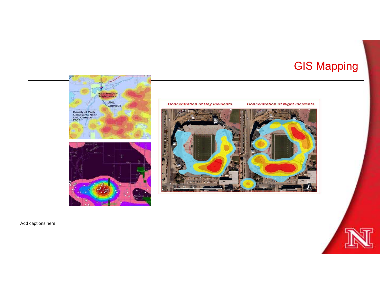# GIS Mapping

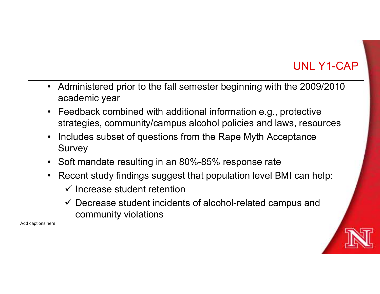# UNL Y1-CAP

- Administered prior to the fall semester beginning with the 2009/2010<br>• Feedback combined with additional information e.g., protective academic year
- Administered prior to the fall semester beginning with the 2009/2010<br>academic year<br>• Feedback combined with additional information e.g., protective<br>• strategies, community/campus alcohol policies and laws, resources<br>• In strategies, community/campus alcohol policies and laws, resources UNL Y1-CAP<br>• Administered prior to the fall semester beginning with the 2009/2010<br>• Feedback combined with additional information e.g., protective<br>• strategies, community/campus alcohol policies and laws, resources<br>• Inclu
- Survey
- 
- Administered prior to the fall semester beginning with the 2009/2010<br>
 Feedback combined with additional information e.g., protective<br>
 Feedback combined with additional information e.g., protective<br>
 Includes subset • Administered prior to the fall semester beginning with the 2009/2010<br>
• Feedback combined with additional information e.g., protective<br>
• Feedback combined with additional information e.g., protective<br>
• strategies, com  $\checkmark$  Increase student retention
	- $\checkmark$  Decrease student incidents of alcohol-related campus and community violations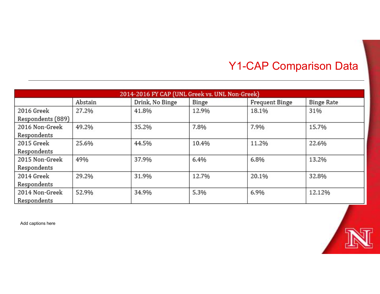# Y1-CAP Comparison Data

|                   |         | 2014-2016 FY CAP (UNL Greek vs. UNL Non-Greek) |       |                       |                   |
|-------------------|---------|------------------------------------------------|-------|-----------------------|-------------------|
|                   | Abstain | Drink, No Binge                                | Binge | <b>Frequent Binge</b> | <b>Binge Rate</b> |
| 2016 Greek        | 27.2%   | 41.8%                                          | 12.9% | 18.1%                 | 31%               |
| Respondents (889) |         |                                                |       |                       |                   |
| 2016 Non-Greek    | 49.2%   | 35.2%                                          | 7.8%  | 7.9%                  | 15.7%             |
| Respondents       |         |                                                |       |                       |                   |
| 2015 Greek        | 25.6%   | 44.5%                                          | 10.4% | 11.2%                 | 22.6%             |
| Respondents       |         |                                                |       |                       |                   |
| 2015 Non-Greek    | 49%     | 37.9%                                          | 6.4%  | 6.8%                  | 13.2%             |
| Respondents       |         |                                                |       |                       |                   |
| 2014 Greek        | 29.2%   | 31.9%                                          | 12.7% | 20.1%                 | 32.8%             |
| Respondents       |         |                                                |       |                       |                   |
| 2014 Non-Greek    | 52.9%   | 34.9%                                          | 5.3%  | 6.9%                  | 12.12%            |
| Respondents       |         |                                                |       |                       |                   |

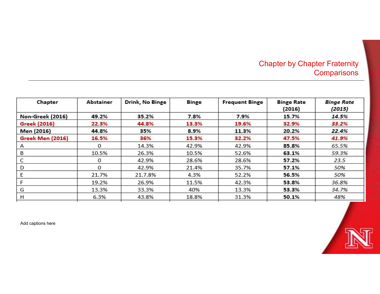### Chapter by Chapter Fraternity .<br>Comparisons

| Chapter             | Abstainer | Drink, No Binge | <b>Binge</b> | <b>Frequent Binge</b> | <b>Binge Rate</b><br>(2016) | <b>Binge Rate</b><br>(2015) |
|---------------------|-----------|-----------------|--------------|-----------------------|-----------------------------|-----------------------------|
| Non-Greek (2016)    | 49.2%     | 35.2%           | 7.8%         | 7.9%                  | 15.7%                       | 14.5%                       |
| <b>Greek (2016)</b> | 22.3%     | 44.8%           | 13.3%        | 19.6%                 | 32.9%                       | 33.2%                       |
| Men (2016)          | 44.8%     | 35%             | 8.9%         | 11.3%                 | 20.2%                       | 22.4%                       |
| Greek Men (2016)    | 16.5%     | 36%             | 15.3%        | 32.2%                 | 47.5%                       | 41.9%                       |
| Α                   | 0         | 14.3%           | 42.9%        | 42.9%                 | 85.8%                       | 65.5%                       |
| B                   | 10.5%     | 26.3%           | 10.5%        | 52.6%                 | 63.1%                       | 59.3%                       |
| C                   | 0         | 42.9%           | 28.6%        | 28.6%                 | 57.2%                       | 23.5                        |
| D                   | 0         | 42.9%           | 21.4%        | 35.7%                 | 57.1%                       | 50%                         |
| E                   | 21.7%     | 21.7.8%         | 4.3%         | 52.2%                 | 56.5%                       | 50%                         |
| F                   | 19.2%     | 26.9%           | 11.5%        | 42.3%                 | 53.8%                       | 36.8%                       |
| G                   | 13.3%     | 33.3%           | 40%          | 13.3%                 | 53.3%                       | 34.7%                       |
| H                   | 6.3%      | 43.8%           | 18.8%        | 31.3%                 | 50.1%                       | 48%                         |

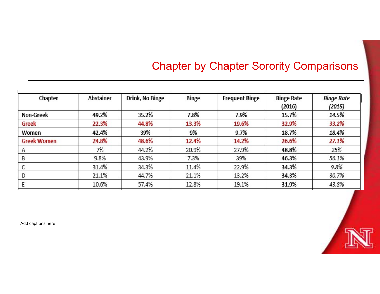# Chapter by Chapter Sorority Comparisons

| Chapter            | <b>Abstainer</b> | Drink, No Binge | <b>Binge</b> | <b>Frequent Binge</b> | <b>Binge Rate</b><br>(2016) | <b>Binge Rate</b><br>(2015) |
|--------------------|------------------|-----------------|--------------|-----------------------|-----------------------------|-----------------------------|
| <b>Non-Greek</b>   | 49.2%            | 35.2%           | 7.8%         | 7.9%                  | 15.7%                       | 14.5%                       |
| Greek              | 22.3%            | 44.8%           | 13.3%        | 19.6%                 | 32.9%                       | 33.2%                       |
| Women              | 42.4%            | 39%             | 9%           | 9.7%                  | 18.7%                       | 18.4%                       |
| <b>Greek Women</b> | 24.8%            | 48.6%           | 12.4%        | 14.2%                 | 26.6%                       | 27.1%                       |
| Α                  | 7%               | 44.2%           | 20.9%        | 27.9%                 | 48.8%                       | 25%                         |
| В                  | 9.8%             | 43.9%           | 7.3%         | 39%                   | 46.3%                       | 56.1%                       |
| С                  | 31.4%            | 34.3%           | 11.4%        | 22.9%                 | 34.3%                       | 9.8%                        |
| D                  | 21.1%            | 44.7%           | 21.1%        | 13.2%                 | 34.3%                       | 30.7%                       |
| Ε                  | 10.6%            | 57.4%           | 12.8%        | 19.1%                 | 31.9%                       | 43.8%                       |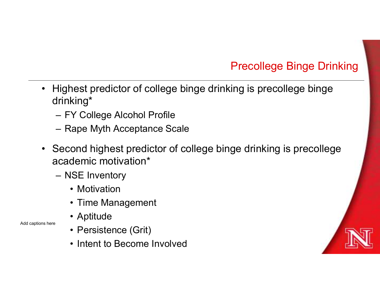# Precollege Binge Drinking

- Highest predictor of college binge drinking Precollege Binge Drinking<br>• Highest predictor of college binge drinking is precollege binge<br>• FY College Alcohol Profile drinking\* Preco<br>
Highest predictor of college binge drinking is<br>
drinking\*<br>
- FY College Alcohol Profile<br>
- Rape Myth Acceptance Scale<br>
- Second bighest gradiates of college bings driv Precolle<br>
Highest predictor of college binge drinking is pre<br>
drinking\*<br>
- FY College Alcohol Profile<br>
- Rape Myth Acceptance Scale<br>
Second highest predictor of college binge drinkin<br>
academic motivation\*
	-
	-
- Highest predictor of college binge drinking is precollege binge<br>
drinking\*<br>
 FY College Alcohol Profile<br>
 Rape Myth Acceptance Scale<br>
 Second highest predictor of college binge drinking is precollege<br>
academic motivat academic motivation\* Highest predictor of college binge drin<br>
drinking\*<br>
– FY College Alcohol Profile<br>
– Rape Myth Acceptance Scale<br>
Second highest predictor of college b<br>
academic motivation\*<br>
– NSE Inventory<br>
• Motivation<br>
• Time Management rest predictor of college binge drinking\*<br>
Y College Alcohol Profile<br>
ape Myth Acceptance Scale<br>
ond highest predictor of college bing<br>
demic motivation\*<br>
ISE Inventory<br>
• Motivation<br>
• Time Management<br>
• Aptitude Fredictor of college binge drinkin<br>
King\*<br>
Y College Alcohol Profile<br>
Rape Myth Acceptance Scale<br>
ond highest predictor of college bing<br>
demic motivation\*<br>
ISE Inventory<br>
• Motivation<br>
• Time Management<br>
• Aptitude<br>
• Pers king\*<br>
Y College Alcohol Profile<br>
kape Myth Acceptance Scale<br>
ond highest predictor of college bing<br>
demic motivation\*<br>
ISE Inventory<br>
• Motivation<br>
• Time Management<br>
• Aptitude<br>
• Persistence (Grit)<br>
• Intent to Become I Y College Alcohol Profile<br>
Vape Myth Acceptance Scale<br>
ond highest predictor of college bing<br>
demic motivation\*<br>
ISE Inventory<br>
• Motivation<br>
• Time Management<br>
• Aptitude<br>
• Persistence (Grit)<br>
• Intent to Become Involved extrage Myth Acceptance Scale<br>
1999 - Modifiest predictor of college bing<br>
1999 - Motivation<br>
1999 - Motivation<br>
1999 - Motivation<br>
1999 - Motivation<br>
1999 - Motivation<br>
1999 - Motivation<br>
1999 - Motivation<br>
1999 - Motivat
	- -
		-
		-
- Add captions here Persistence (Grit)
	-

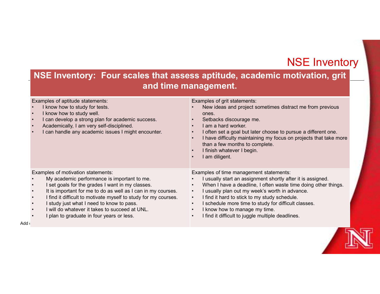### NSE Inventory

### NSE Inventory: Four scales that assess aptitude, academic motivation, grit and time management.

|                                                                                                                                                                                                                                                                                                                                                                                                                      | <b>NSE Inventory</b><br>NSE Inventory: Four scales that assess aptitude, academic motivation, grit<br>and time management.                                                                                                                                                                                                                                                                                                |
|----------------------------------------------------------------------------------------------------------------------------------------------------------------------------------------------------------------------------------------------------------------------------------------------------------------------------------------------------------------------------------------------------------------------|---------------------------------------------------------------------------------------------------------------------------------------------------------------------------------------------------------------------------------------------------------------------------------------------------------------------------------------------------------------------------------------------------------------------------|
| Examples of aptitude statements:<br>I know how to study for tests.<br>I know how to study well.<br>I can develop a strong plan for academic success.<br>Academically, I am very self-disciplined.<br>I can handle any academic issues I might encounter.                                                                                                                                                             | Examples of grit statements:<br>New ideas and project sometimes distract me from previous<br>ones.<br>Setbacks discourage me.<br>I am a hard worker.<br>I often set a goal but later choose to pursue a different one.<br>I have difficulty maintaining my focus on projects that take more<br>than a few months to complete.<br>I finish whatever I begin.<br>I am diligent.                                             |
| Examples of motivation statements:<br>My academic performance is important to me.<br>I set goals for the grades I want in my classes.<br>It is important for me to do as well as I can in my courses.<br>I find it difficult to motivate myself to study for my courses.<br>I study just what I need to know to pass.<br>I will do whatever it takes to succeed at UNL.<br>I plan to graduate in four years or less. | Examples of time management statements:<br>I usually start an assignment shortly after it is assigned.<br>When I have a deadline, I often waste time doing other things.<br>I usually plan out my week's worth in advance.<br>I find it hard to stick to my study schedule.<br>I schedule more time to study for difficult classes.<br>I know how to manage my time.<br>I find it difficult to juggle multiple deadlines. |

 $\mathsf{Add}\, \mathfrak{c}$  and  $\mathfrak{c}$  and  $\mathfrak{c}$  and  $\mathfrak{c}$  and  $\mathfrak{c}$  and  $\mathfrak{c}$  and  $\mathfrak{c}$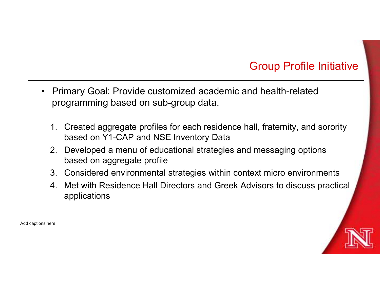# Group Profile Initiative

- Group Profile Initiative<br>• Primary Goal: Provide customized academic and health-related<br>programming based on sub-group data. programming based on sub-group data.
	- 1. Created aggregate profiles for each residence hall, fraternity, and sorority<br>1. Created aggregate profiles for each residence hall, fraternity, and sorority<br>1. Created aggregate profiles for each residence hall, fratern based on Y1-CAP and NSE Inventory Data 2. Group Profile Initiative<br>2. Primary Goal: Provide customized academic and health-related<br>2. Created aggregate profiles for each residence hall, fraternity, and sorority<br>2. Developed a menu of educational strategies and 3. Considered environmental strategies within context micro environments applications<br>3. Considered environmental strategies for each residence hall, fraternity, and sorority<br>3. Considered a menu of educational strategies 4. Met with Residence Hall Directors and Greek Advisors to discuss practical applications<br>applications and Metal Directors and Metal Prelated<br>1. Created aggregate profiles for each residence hall, fraternity, and sorority<br>
	- based on aggregate profile
	-
	- applications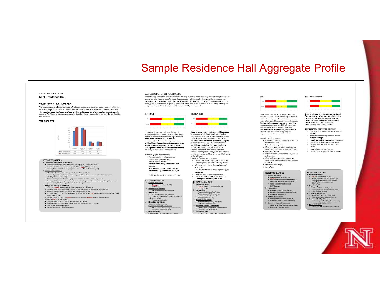### Sample Residence Hall Aggregate Profile

#### 2017 Residence Hall Profile

**Abel Residence Hall** 

HIGH-RISK BEHAVIORS Prior to students attending the University of Nebraska-Lincoln, they complete an online survey called the Frust to sublems attenting the University or need asks Lincom, they complete an onine survey called Trist Franc<br>First-Year College Alcohol Profile. This tool provides students with basic alcohol education and corrects<br>misp your residents.

#### 2017 BINGE RATE



- 
- 
- 

ACADEMIC DREDAREDNESS

The following information came from the NSE Advising Inventory that all incoming students complete prior to The rollowing information came from the NSC Advising inventory that all incoming students complete prior to<br>their orientation experience at Nebraska. Four scales on aptitude, motivation, grit and time management<br>- capture third), yellow (middle third) or green (upper third) represent student responses. The following summary was compiled based on the self-reported attitudes provided by your residents.



additional support in college. These students are not confident in their abilities and need regular contact and support. You could also focus on skill and support. You could also locus on skill<br>development, such as how to study or read research<br>articles. They will need direction to seek out services and set goals to work toward graduation. Student with higher scored are confident in their abilities and are ready to launch their academic caree

#### Examples of aptitude statements: · I can succeed in my college courses.

- . I know how to study for tests. I know how to study well.
- · I can develop a strong plan for academic success.
- · Academically, I am yery self-disciplined.
- Can handle any academic issues I might encounter.
- . I will complete my degree at the university.

#### RECOMMENDATIONS

**CONVINCING ACCONSTANT**<br> **e**<br> **CONCOUR CONVINCING**<br> **CONVING PRESS**<br> **CONVING DESCRIPS**<br> **CONVING PRESS**<br> **CONVINGERS**<br> **Add to coorv/suitemate agreements** Add to room/suitemate agreements<br> **Programming:**<br> **Azademic initiatives efforts/events**<br>
Passive programs/Online resources (deg<br>
wide share-see list) wide share-see itst)<br>• Active programs (see list)<br><u>Student Conduct Process</u>: Lustenize conduct sanctions Add to surveys, staff training, decisi<br>Incorporate into Husker GROW Parent Interactions:<br>Reference at NSE, in writt



| my courses.                                      |
|--------------------------------------------------|
| . I study just what I need to know to pass.      |
| . I will do whatever it takes to succeed at UNL. |
| . I night to araduate in four years or less.     |

RECOMMENDATIONS **Pesident Interactions:**<br>
• Concome student conversations (RA, RD)<br>
• FYETP Referrals

| -------------                            |
|------------------------------------------|
| Academic initiatives efforts/events      |
| Passive programs/Online resources        |
| Advancement and sudder change your first |

```
• (department wide share-see list)<br>• Active programs (see list)<br>• Student Conduct Process:<br>• Motivational Interviewing Techniques<br>• Customize conduct sanctions
```

```
Department Training & Assessment:
Parent Interactions:
```
GRIT

Students with low grit scores would benefit from Students with low grit scores would benefit from<br>conversations focused on short term goal setting as<br>well as discussing motivation and rewards for<br>accomplishing short term goals. Conversations could accompusing snort term goals. Conversations counter<br>incorporate language that focuses on a growth star<br>fixed mindset. Students with high grit scores may<br>need help with work-life balance, suggesting<br>activities like intramur student organizations and college-specific organizations could be beneficial.

#### Examples of grit statements:

- . New ideas and project sometimes distract me from previous ones
- 
- from previous ones.<br>• Setbacks discourage me.<br>• I have been obsessed with a certain idea or<br>• project for a short time but later lost interest.
- $\bullet$  *Lam a hard worker.*
- I often set a goal but later choose to pursue a different one.
- . I have difficulty maintaining my facus on
- projects that take more than a few months to
- projects that take more to<br>complete.<br>• I finish whatever I begin.
- $+$   $1$  am diligent



- 
- 
- 
- 
- 
- 
- . Incorporate into Husker GROW

RECOMMENDATIONS

classes

TIME MANAGEMENT

the control of the control of the

Students with poor time management may benefit

doing other things.<br>• I usually plan out my week's worth in advance.

. I find it hard to stick to my study schedule.

· I find it difficult to juggle multiple deadlines.

· I schedule more time to study for difficult

• I know how to manage my time.

from learning how to incorporate a syllabus into a non nearing now to into point the semi-transmitted backwards timeline for the semi-transmitted backwards timeline for the semi-transmitted conversations about their current time commitments (social, family, academic).

Examples of time management statements xamples of time management statements:<br>• I usually start an assignment shortly after it is<br>assigned.<br>• When I have a deadline, I often waste time

 $\begin{minipage}[t]{0.00\textwidth}\begin{minipage}[t]{0.00\textwidth}\begin{itemize} \textbf{RE}(\text{DOM},\text{MOM},\text{MOM},\text{MOM},\text{MOM},\text{MOM},\text{MOM},\text{MOM},\text{MOM},\text{MOM},\text{MOM},\text{MOM},\text{MOM},\text{MOM},\text{MOM},\text{MOM},\text{MOM},\text{MOM},\text{MOM},\text{MOM},\text{MOM},\text{MOM},\text{MOM},\text{MOM},\text{MOM},\text{MOM},\text{MOM},\text{MOM},\text{MOM},\text$ 

Mollow up

- 
- 
- 
- 
- 
- 
- 
- · Add to surveys, staff training, decision making
	-



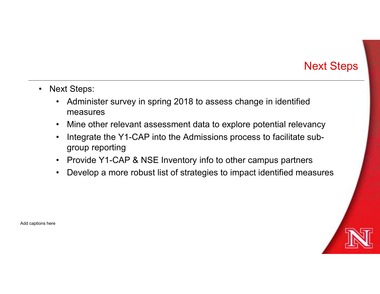# Next Steps

- 
- Next Steps:<br>• Administer survey in spring 2018 to a<br>measures Mext Steps:<br>• Administer survey in spring 2018 to assess change in identified<br>• Mine other relevant assessment data to explore potential relevancy<br>• Mine other relevant assessment data to explore potential relevancy measures
	-
	- Mext Steps:<br>• Administer survey in spring 2018 to assess change in identified<br>• Mine other relevant assessment data to explore potential relevancy<br>• Integrate the Y1-CAP into the Admissions process to facilitate subgroup **Example 18**<br>• Administer survey in spring 2018 to assess change in identified<br>measures<br>• Mine other relevant assessment data to explore potential relevancy<br>• Integrate the Y1-CAP into the Admissions process to facilitate group reporting • Mext Steps:<br>• Administer survey in spring 2018 to assess change in identified<br>• Mine other relevant assessment data to explore potential relevancy<br>• Integrate the Y1-CAP into the Admissions process to facilitate subgroup • Mext Steps:<br>• Administer survey in spring 2018 to assess change in identified<br>• Mine other relevant assessment data to explore potential relevancy<br>• Integrate the Y1-CAP into the Admissions process to facilitate sub-<br>• P
	-
	-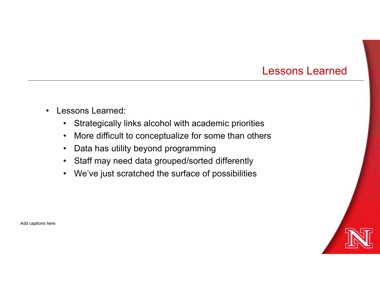### Lessons Learned

- 
- Lessons Learned:<br>• Strategically links alcohol with acade<br>• More difficult to conceptualize for so
	- Lessons Learned:<br>• Strategically links alcohol with academic priorities<br>• More difficult to conceptualize for some than others<br>• Data has utility beyond programming **Lessons Learned:**<br>• Strategically links alcohol with academic priorities<br>• More difficult to conceptualize for some than others<br>• Data has utility beyond programming<br>• Staff may need data grouped/sorted differently **Lesson**<br>• Strategically links alcohol with academic priorities<br>• More difficult to conceptualize for some than others<br>• Data has utility beyond programming<br>• Staff may need data grouped/sorted differently<br>• We've just scr Lessons Learned:<br>• Strategically links alcohol with academic priorities<br>• More difficult to conceptualize for some than others<br>• Data has utility beyond programming<br>• Staff may need data grouped/sorted differently<br>• We've **Lessons Learned:**<br>• Strategically links alcohol with academic priorities<br>• More difficult to conceptualize for some than others<br>• Data has utility beyond programming<br>• Staff may need data grouped/sorted differently<br>• We'v
	-
	-
	-